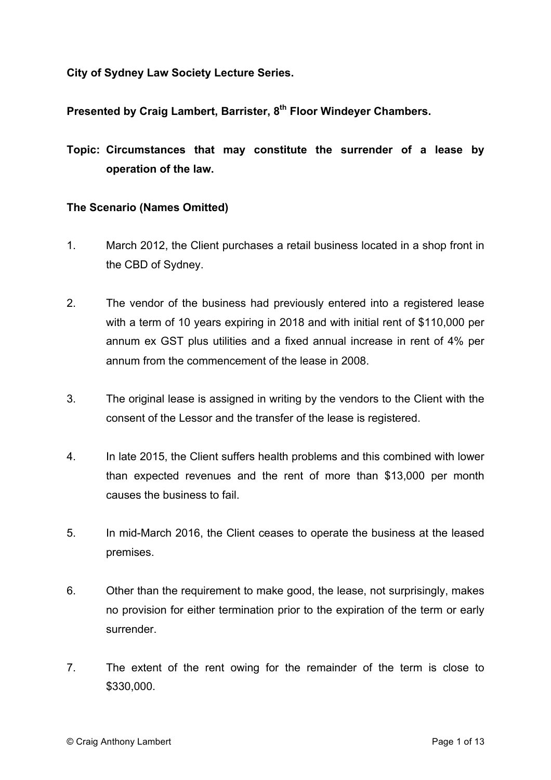**City of Sydney Law Society Lecture Series.**

**Presented by Craig Lambert, Barrister, 8th Floor Windeyer Chambers.** 

**Topic: Circumstances that may constitute the surrender of a lease by operation of the law.**

## **The Scenario (Names Omitted)**

- 1. March 2012, the Client purchases a retail business located in a shop front in the CBD of Sydney.
- 2. The vendor of the business had previously entered into a registered lease with a term of 10 years expiring in 2018 and with initial rent of \$110,000 per annum ex GST plus utilities and a fixed annual increase in rent of 4% per annum from the commencement of the lease in 2008.
- 3. The original lease is assigned in writing by the vendors to the Client with the consent of the Lessor and the transfer of the lease is registered.
- 4. In late 2015, the Client suffers health problems and this combined with lower than expected revenues and the rent of more than \$13,000 per month causes the business to fail.
- 5. In mid-March 2016, the Client ceases to operate the business at the leased premises.
- 6. Other than the requirement to make good, the lease, not surprisingly, makes no provision for either termination prior to the expiration of the term or early surrender.
- 7. The extent of the rent owing for the remainder of the term is close to \$330,000.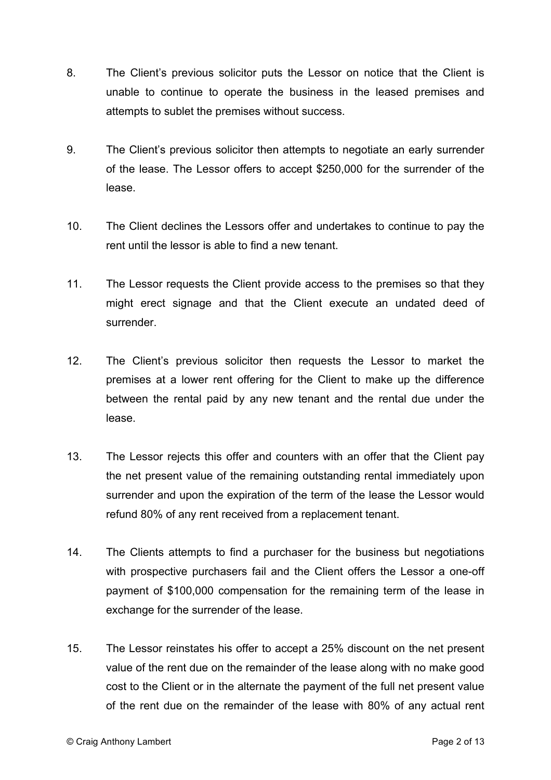- 8. The Client's previous solicitor puts the Lessor on notice that the Client is unable to continue to operate the business in the leased premises and attempts to sublet the premises without success.
- 9. The Client's previous solicitor then attempts to negotiate an early surrender of the lease. The Lessor offers to accept \$250,000 for the surrender of the lease.
- 10. The Client declines the Lessors offer and undertakes to continue to pay the rent until the lessor is able to find a new tenant.
- 11. The Lessor requests the Client provide access to the premises so that they might erect signage and that the Client execute an undated deed of surrender.
- 12. The Client's previous solicitor then requests the Lessor to market the premises at a lower rent offering for the Client to make up the difference between the rental paid by any new tenant and the rental due under the lease.
- 13. The Lessor rejects this offer and counters with an offer that the Client pay the net present value of the remaining outstanding rental immediately upon surrender and upon the expiration of the term of the lease the Lessor would refund 80% of any rent received from a replacement tenant.
- 14. The Clients attempts to find a purchaser for the business but negotiations with prospective purchasers fail and the Client offers the Lessor a one-off payment of \$100,000 compensation for the remaining term of the lease in exchange for the surrender of the lease.
- 15. The Lessor reinstates his offer to accept a 25% discount on the net present value of the rent due on the remainder of the lease along with no make good cost to the Client or in the alternate the payment of the full net present value of the rent due on the remainder of the lease with 80% of any actual rent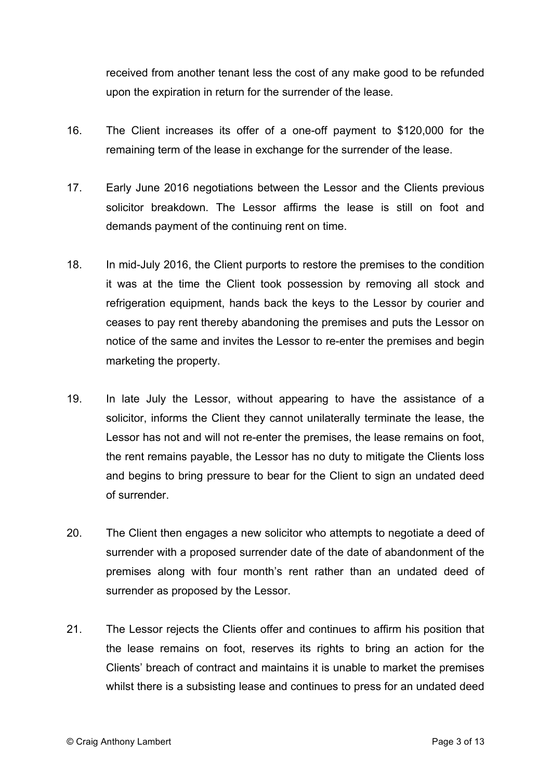received from another tenant less the cost of any make good to be refunded upon the expiration in return for the surrender of the lease.

- 16. The Client increases its offer of a one-off payment to \$120,000 for the remaining term of the lease in exchange for the surrender of the lease.
- 17. Early June 2016 negotiations between the Lessor and the Clients previous solicitor breakdown. The Lessor affirms the lease is still on foot and demands payment of the continuing rent on time.
- 18. In mid-July 2016, the Client purports to restore the premises to the condition it was at the time the Client took possession by removing all stock and refrigeration equipment, hands back the keys to the Lessor by courier and ceases to pay rent thereby abandoning the premises and puts the Lessor on notice of the same and invites the Lessor to re-enter the premises and begin marketing the property.
- 19. In late July the Lessor, without appearing to have the assistance of a solicitor, informs the Client they cannot unilaterally terminate the lease, the Lessor has not and will not re-enter the premises, the lease remains on foot, the rent remains payable, the Lessor has no duty to mitigate the Clients loss and begins to bring pressure to bear for the Client to sign an undated deed of surrender.
- 20. The Client then engages a new solicitor who attempts to negotiate a deed of surrender with a proposed surrender date of the date of abandonment of the premises along with four month's rent rather than an undated deed of surrender as proposed by the Lessor.
- 21. The Lessor rejects the Clients offer and continues to affirm his position that the lease remains on foot, reserves its rights to bring an action for the Clients' breach of contract and maintains it is unable to market the premises whilst there is a subsisting lease and continues to press for an undated deed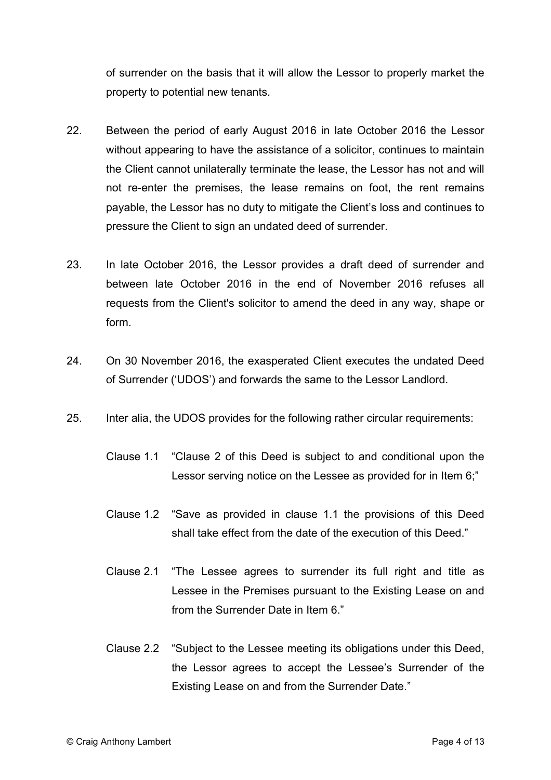of surrender on the basis that it will allow the Lessor to properly market the property to potential new tenants.

- 22. Between the period of early August 2016 in late October 2016 the Lessor without appearing to have the assistance of a solicitor, continues to maintain the Client cannot unilaterally terminate the lease, the Lessor has not and will not re-enter the premises, the lease remains on foot, the rent remains payable, the Lessor has no duty to mitigate the Client's loss and continues to pressure the Client to sign an undated deed of surrender.
- 23. In late October 2016, the Lessor provides a draft deed of surrender and between late October 2016 in the end of November 2016 refuses all requests from the Client's solicitor to amend the deed in any way, shape or form.
- 24. On 30 November 2016, the exasperated Client executes the undated Deed of Surrender ('UDOS') and forwards the same to the Lessor Landlord.
- 25. Inter alia, the UDOS provides for the following rather circular requirements:
	- Clause 1.1 "Clause 2 of this Deed is subject to and conditional upon the Lessor serving notice on the Lessee as provided for in Item 6;"
	- Clause 1.2 "Save as provided in clause 1.1 the provisions of this Deed shall take effect from the date of the execution of this Deed."
	- Clause 2.1 "The Lessee agrees to surrender its full right and title as Lessee in the Premises pursuant to the Existing Lease on and from the Surrender Date in Item 6."
	- Clause 2.2 "Subject to the Lessee meeting its obligations under this Deed, the Lessor agrees to accept the Lessee's Surrender of the Existing Lease on and from the Surrender Date."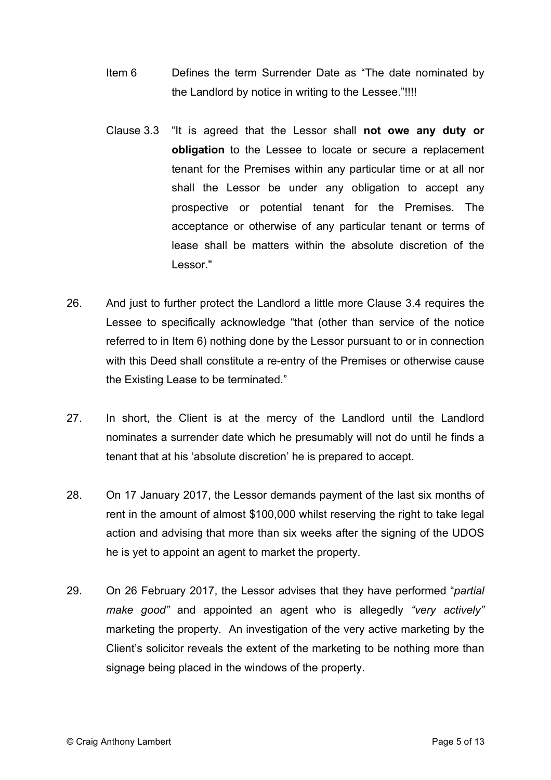- Item 6 Defines the term Surrender Date as "The date nominated by the Landlord by notice in writing to the Lessee."!!!!
- Clause 3.3 "It is agreed that the Lessor shall **not owe any duty or obligation** to the Lessee to locate or secure a replacement tenant for the Premises within any particular time or at all nor shall the Lessor be under any obligation to accept any prospective or potential tenant for the Premises. The acceptance or otherwise of any particular tenant or terms of lease shall be matters within the absolute discretion of the Lessor."
- 26. And just to further protect the Landlord a little more Clause 3.4 requires the Lessee to specifically acknowledge "that (other than service of the notice referred to in Item 6) nothing done by the Lessor pursuant to or in connection with this Deed shall constitute a re-entry of the Premises or otherwise cause the Existing Lease to be terminated."
- 27. In short, the Client is at the mercy of the Landlord until the Landlord nominates a surrender date which he presumably will not do until he finds a tenant that at his 'absolute discretion' he is prepared to accept.
- 28. On 17 January 2017, the Lessor demands payment of the last six months of rent in the amount of almost \$100,000 whilst reserving the right to take legal action and advising that more than six weeks after the signing of the UDOS he is yet to appoint an agent to market the property.
- 29. On 26 February 2017, the Lessor advises that they have performed "*partial make good"* and appointed an agent who is allegedly *"very actively"* marketing the property. An investigation of the very active marketing by the Client's solicitor reveals the extent of the marketing to be nothing more than signage being placed in the windows of the property.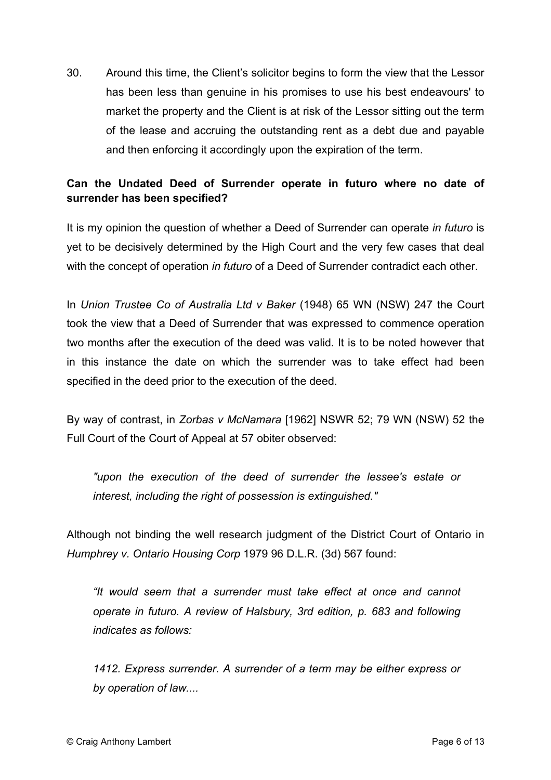30. Around this time, the Client's solicitor begins to form the view that the Lessor has been less than genuine in his promises to use his best endeavours' to market the property and the Client is at risk of the Lessor sitting out the term of the lease and accruing the outstanding rent as a debt due and payable and then enforcing it accordingly upon the expiration of the term.

# **Can the Undated Deed of Surrender operate in futuro where no date of surrender has been specified?**

It is my opinion the question of whether a Deed of Surrender can operate *in futuro* is yet to be decisively determined by the High Court and the very few cases that deal with the concept of operation *in futuro* of a Deed of Surrender contradict each other.

In *Union Trustee Co of Australia Ltd v Baker* (1948) 65 WN (NSW) 247 the Court took the view that a Deed of Surrender that was expressed to commence operation two months after the execution of the deed was valid. It is to be noted however that in this instance the date on which the surrender was to take effect had been specified in the deed prior to the execution of the deed.

By way of contrast, in *Zorbas v McNamara* [1962] NSWR 52; 79 WN (NSW) 52 the Full Court of the Court of Appeal at 57 obiter observed:

*"upon the execution of the deed of surrender the lessee's estate or interest, including the right of possession is extinguished."*

Although not binding the well research judgment of the District Court of Ontario in *Humphrey v. Ontario Housing Corp* 1979 96 D.L.R. (3d) 567 found:

*"It would seem that a surrender must take effect at once and cannot operate in futuro. A review of Halsbury, 3rd edition, p. 683 and following indicates as follows:*

*1412. Express surrender. A surrender of a term may be either express or by operation of law....*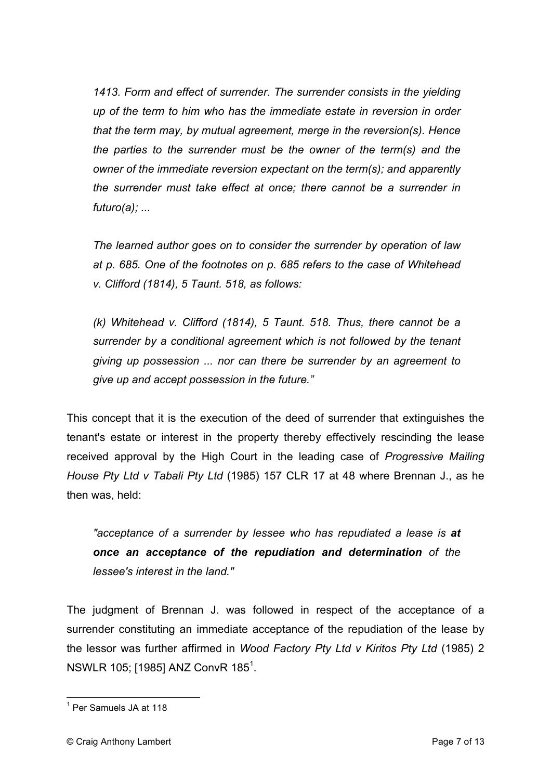*1413. Form and effect of surrender. The surrender consists in the yielding up of the term to him who has the immediate estate in reversion in order that the term may, by mutual agreement, merge in the reversion(s). Hence the parties to the surrender must be the owner of the term(s) and the owner of the immediate reversion expectant on the term(s); and apparently the surrender must take effect at once; there cannot be a surrender in futuro(a); ...*

*The learned author goes on to consider the surrender by operation of law at p. 685. One of the footnotes on p. 685 refers to the case of Whitehead v. Clifford (1814), 5 Taunt. 518, as follows:*

*(k) Whitehead v. Clifford (1814), 5 Taunt. 518. Thus, there cannot be a surrender by a conditional agreement which is not followed by the tenant giving up possession ... nor can there be surrender by an agreement to give up and accept possession in the future."*

This concept that it is the execution of the deed of surrender that extinguishes the tenant's estate or interest in the property thereby effectively rescinding the lease received approval by the High Court in the leading case of *Progressive Mailing House Pty Ltd v Tabali Pty Ltd* (1985) 157 CLR 17 at 48 where Brennan J., as he then was, held:

*"acceptance of a surrender by lessee who has repudiated a lease is at once an acceptance of the repudiation and determination of the lessee's interest in the land."* 

The judgment of Brennan J. was followed in respect of the acceptance of a surrender constituting an immediate acceptance of the repudiation of the lease by the lessor was further affirmed in *Wood Factory Pty Ltd v Kiritos Pty Ltd* (1985) 2 NSWLR 105; [1985] ANZ ConvR 185 $^{\rm 1}$ .

<sup>&</sup>lt;sup>1</sup> Per Samuels JA at 118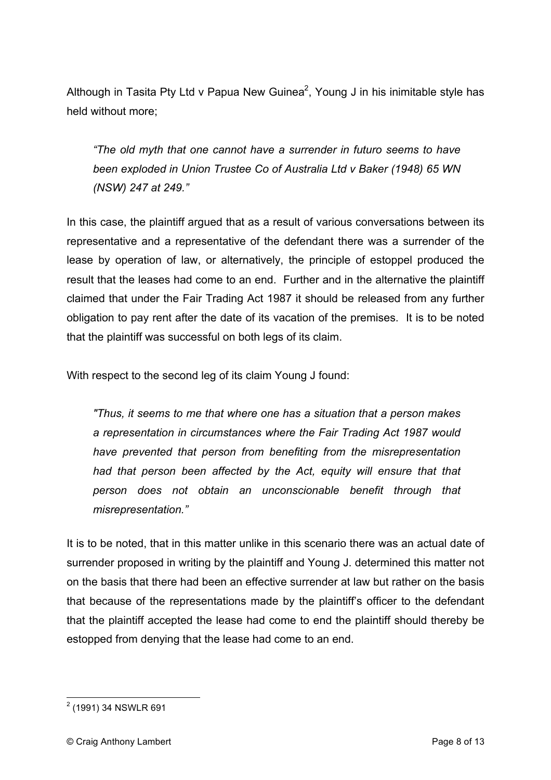Although in Tasita Pty Ltd v Papua New Guinea<sup>2</sup>, Young J in his inimitable style has held without more;

*"The old myth that one cannot have a surrender in futuro seems to have been exploded in Union Trustee Co of Australia Ltd v Baker (1948) 65 WN (NSW) 247 at 249."*

In this case, the plaintiff argued that as a result of various conversations between its representative and a representative of the defendant there was a surrender of the lease by operation of law, or alternatively, the principle of estoppel produced the result that the leases had come to an end. Further and in the alternative the plaintiff claimed that under the Fair Trading Act 1987 it should be released from any further obligation to pay rent after the date of its vacation of the premises. It is to be noted that the plaintiff was successful on both legs of its claim.

With respect to the second leg of its claim Young J found:

*"Thus, it seems to me that where one has a situation that a person makes a representation in circumstances where the Fair Trading Act 1987 would have prevented that person from benefiting from the misrepresentation had that person been affected by the Act, equity will ensure that that person does not obtain an unconscionable benefit through that misrepresentation."*

It is to be noted, that in this matter unlike in this scenario there was an actual date of surrender proposed in writing by the plaintiff and Young J. determined this matter not on the basis that there had been an effective surrender at law but rather on the basis that because of the representations made by the plaintiff's officer to the defendant that the plaintiff accepted the lease had come to end the plaintiff should thereby be estopped from denying that the lease had come to an end.

<sup>2</sup> (1991) 34 NSWLR 691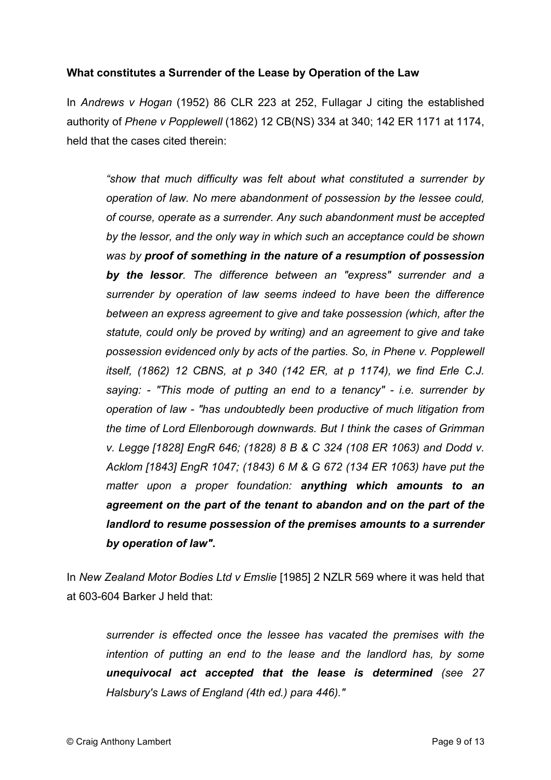#### **What constitutes a Surrender of the Lease by Operation of the Law**

In *Andrews v Hogan* (1952) 86 CLR 223 at 252, Fullagar J citing the established authority of *Phene v Popplewell* (1862) 12 CB(NS) 334 at 340; 142 ER 1171 at 1174, held that the cases cited therein:

*"show that much difficulty was felt about what constituted a surrender by operation of law. No mere abandonment of possession by the lessee could, of course, operate as a surrender. Any such abandonment must be accepted by the lessor, and the only way in which such an acceptance could be shown was by proof of something in the nature of a resumption of possession by the lessor. The difference between an "express" surrender and a surrender by operation of law seems indeed to have been the difference between an express agreement to give and take possession (which, after the statute, could only be proved by writing) and an agreement to give and take possession evidenced only by acts of the parties. So, in Phene v. Popplewell itself, (1862) 12 CBNS, at p 340 (142 ER, at p 1174), we find Erle C.J. saying: - "This mode of putting an end to a tenancy" - i.e. surrender by operation of law - "has undoubtedly been productive of much litigation from the time of Lord Ellenborough downwards. But I think the cases of Grimman v. Legge [1828] EngR 646; (1828) 8 B & C 324 (108 ER 1063) and Dodd v. Acklom [1843] EngR 1047; (1843) 6 M & G 672 (134 ER 1063) have put the matter upon a proper foundation: anything which amounts to an agreement on the part of the tenant to abandon and on the part of the landlord to resume possession of the premises amounts to a surrender by operation of law".*

In *New Zealand Motor Bodies Ltd v Emslie* [1985] 2 NZLR 569 where it was held that at 603-604 Barker J held that:

*surrender is effected once the lessee has vacated the premises with the intention of putting an end to the lease and the landlord has, by some unequivocal act accepted that the lease is determined (see 27 Halsbury's Laws of England (4th ed.) para 446)."*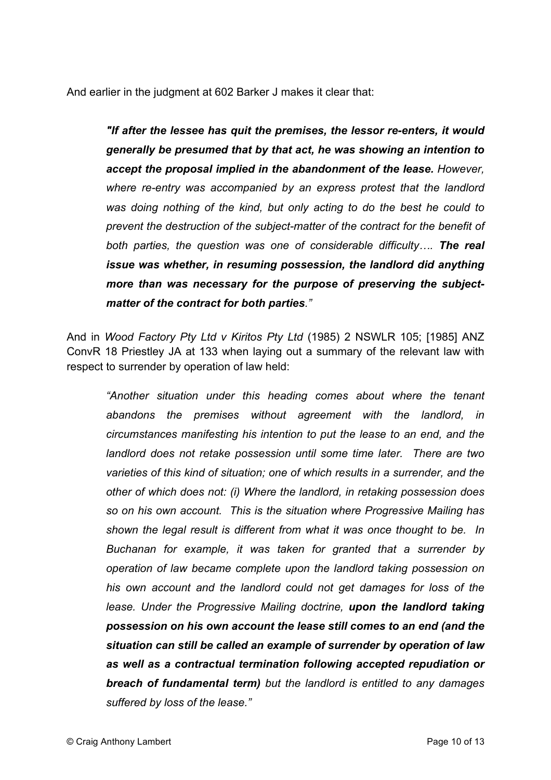And earlier in the judgment at 602 Barker J makes it clear that:

*"If after the lessee has quit the premises, the lessor re-enters, it would generally be presumed that by that act, he was showing an intention to accept the proposal implied in the abandonment of the lease. However, where re-entry was accompanied by an express protest that the landlord was doing nothing of the kind, but only acting to do the best he could to prevent the destruction of the subject-matter of the contract for the benefit of both parties, the question was one of considerable difficulty…. The real issue was whether, in resuming possession, the landlord did anything more than was necessary for the purpose of preserving the subjectmatter of the contract for both parties."*

And in *Wood Factory Pty Ltd v Kiritos Pty Ltd* (1985) 2 NSWLR 105; [1985] ANZ ConvR 18 Priestley JA at 133 when laying out a summary of the relevant law with respect to surrender by operation of law held:

*"Another situation under this heading comes about where the tenant abandons the premises without agreement with the landlord, in circumstances manifesting his intention to put the lease to an end, and the landlord does not retake possession until some time later. There are two varieties of this kind of situation; one of which results in a surrender, and the other of which does not: (i) Where the landlord, in retaking possession does so on his own account. This is the situation where Progressive Mailing has shown the legal result is different from what it was once thought to be. In Buchanan for example, it was taken for granted that a surrender by operation of law became complete upon the landlord taking possession on his own account and the landlord could not get damages for loss of the lease. Under the Progressive Mailing doctrine, upon the landlord taking possession on his own account the lease still comes to an end (and the situation can still be called an example of surrender by operation of law as well as a contractual termination following accepted repudiation or breach of fundamental term) but the landlord is entitled to any damages suffered by loss of the lease."*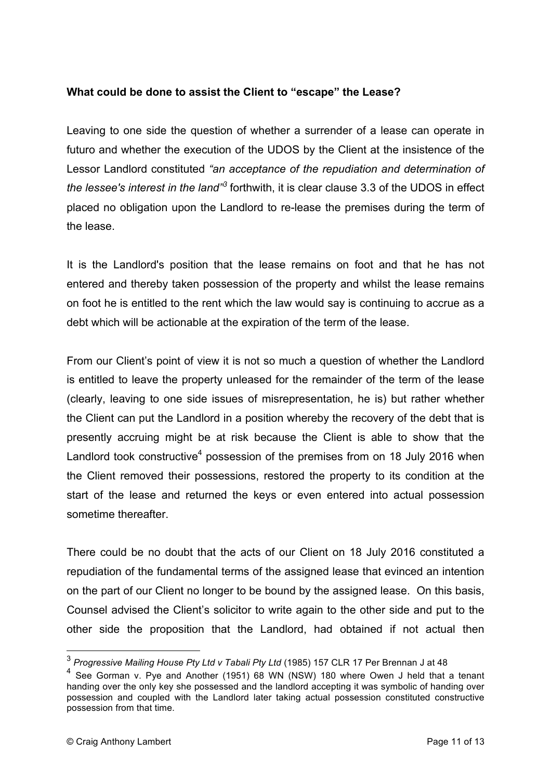## **What could be done to assist the Client to "escape" the Lease?**

Leaving to one side the question of whether a surrender of a lease can operate in futuro and whether the execution of the UDOS by the Client at the insistence of the Lessor Landlord constituted *"an acceptance of the repudiation and determination of the lessee's interest in the land"<sup>3</sup>* forthwith, it is clear clause 3.3 of the UDOS in effect placed no obligation upon the Landlord to re-lease the premises during the term of the lease.

It is the Landlord's position that the lease remains on foot and that he has not entered and thereby taken possession of the property and whilst the lease remains on foot he is entitled to the rent which the law would say is continuing to accrue as a debt which will be actionable at the expiration of the term of the lease.

From our Client's point of view it is not so much a question of whether the Landlord is entitled to leave the property unleased for the remainder of the term of the lease (clearly, leaving to one side issues of misrepresentation, he is) but rather whether the Client can put the Landlord in a position whereby the recovery of the debt that is presently accruing might be at risk because the Client is able to show that the Landlord took constructive<sup>4</sup> possession of the premises from on 18 July 2016 when the Client removed their possessions, restored the property to its condition at the start of the lease and returned the keys or even entered into actual possession sometime thereafter.

There could be no doubt that the acts of our Client on 18 July 2016 constituted a repudiation of the fundamental terms of the assigned lease that evinced an intention on the part of our Client no longer to be bound by the assigned lease. On this basis, Counsel advised the Client's solicitor to write again to the other side and put to the other side the proposition that the Landlord, had obtained if not actual then

<sup>3</sup> *Progressive Mailing House Pty Ltd v Tabali Pty Ltd* (1985) 157 CLR 17 Per Brennan J at 48

<sup>4</sup> See Gorman v. Pye and Another (1951) 68 WN (NSW) 180 where Owen J held that a tenant handing over the only key she possessed and the landlord accepting it was symbolic of handing over possession and coupled with the Landlord later taking actual possession constituted constructive possession from that time.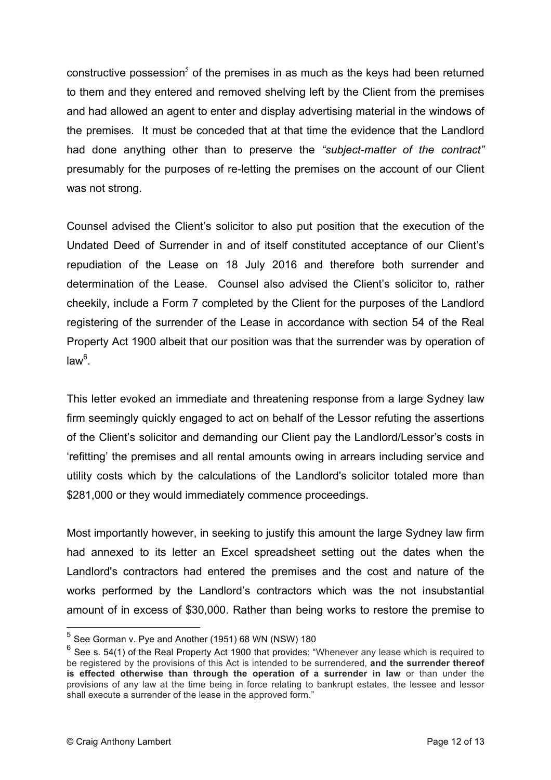constructive possession<sup>5</sup> of the premises in as much as the keys had been returned to them and they entered and removed shelving left by the Client from the premises and had allowed an agent to enter and display advertising material in the windows of the premises. It must be conceded that at that time the evidence that the Landlord had done anything other than to preserve the *"subject-matter of the contract"*  presumably for the purposes of re-letting the premises on the account of our Client was not strong.

Counsel advised the Client's solicitor to also put position that the execution of the Undated Deed of Surrender in and of itself constituted acceptance of our Client's repudiation of the Lease on 18 July 2016 and therefore both surrender and determination of the Lease. Counsel also advised the Client's solicitor to, rather cheekily, include a Form 7 completed by the Client for the purposes of the Landlord registering of the surrender of the Lease in accordance with section 54 of the Real Property Act 1900 albeit that our position was that the surrender was by operation of law<sup>6</sup>.

This letter evoked an immediate and threatening response from a large Sydney law firm seemingly quickly engaged to act on behalf of the Lessor refuting the assertions of the Client's solicitor and demanding our Client pay the Landlord/Lessor's costs in 'refitting' the premises and all rental amounts owing in arrears including service and utility costs which by the calculations of the Landlord's solicitor totaled more than \$281,000 or they would immediately commence proceedings.

Most importantly however, in seeking to justify this amount the large Sydney law firm had annexed to its letter an Excel spreadsheet setting out the dates when the Landlord's contractors had entered the premises and the cost and nature of the works performed by the Landlord's contractors which was the not insubstantial amount of in excess of \$30,000. Rather than being works to restore the premise to

 $<sup>5</sup>$  See Gorman v. Pye and Another (1951) 68 WN (NSW) 180</sup>

 $6$  See s. 54(1) of the Real Property Act 1900 that provides: "Whenever any lease which is required to be registered by the provisions of this Act is intended to be surrendered, **and the surrender thereof is effected otherwise than through the operation of a surrender in law** or than under the provisions of any law at the time being in force relating to bankrupt estates, the lessee and lessor shall execute a surrender of the lease in the approved form."